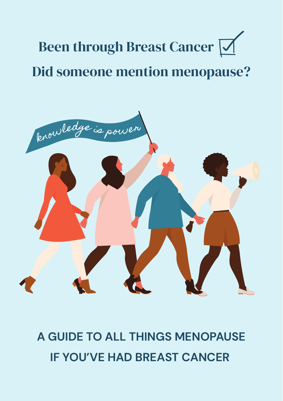# Been through Breast Cancer  $\nabla$ Did someone mention menopause?



**A GUIDE TO ALL THINGS MENOPAUSE IF YOU'VE HAD BREAST CANCER**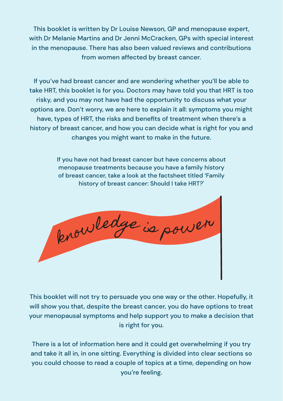This booklet is written by Dr Louise Newson, GP and menopause expert, with Dr Melanie Martins and Dr Jenni McCracken, GPs with special interest in the menopause. There has also been valued reviews and contributions from women affected by breast cancer.

If you've had breast cancer and are wondering whether you'll be able to take HRT, this booklet is for you. Doctors may have told you that HRT is too risky, and you may not have had the opportunity to discuss what your options are. Don't worry, we are here to explain it all: symptoms you might have, types of HRT, the risks and benefits of treatment when there's a history of breast cancer, and how you can decide what is right for you and changes you might want to make in the future.

> If you have not had breast cancer but have concerns about menopause treatments because you have a family history of breast cancer, take a look at the factsheet titled 'Family history of breast cancer: Should I take HRT?'



This booklet will not try to persuade you one way or the other. Hopefully, it will show you that, despite the breast cancer, you do have options to treat your menopausal symptoms and help support you to make a decision that is right for you.

There is a lot of information here and it could get overwhelming if you try and take it all in, in one sitting. Everything is divided into clear sections so you could choose to read a couple of topics at a time, depending on how you're feeling.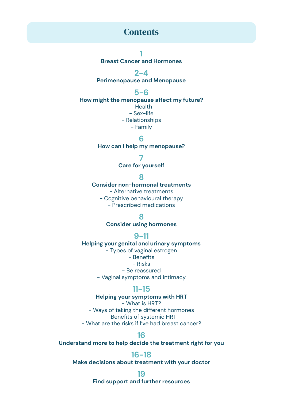### **Contents**

**1**

**Breast Cancer and Hormones**

**2-4**

**Perimenopause and Menopause**

**5-6**

**How might the menopause affect my future?**

- Health - Sex-life - Relationships - Family

**6**

**How can I help my menopause?**

**7**

**Care for yourself**

**8**

**Consider non-hormonal treatments**

- Alternative treatments

- Cognitive behavioural therapy

- Prescribed medications

**8**

**Consider using hormones**

#### **9-11**

**Helping your genital and urinary symptoms** - Types of vaginal estrogen - Benefits - Risks - Be reassured - Vaginal symptoms and intimacy

### **11-15**

**Helping your symptoms with HRT**

- What is HRT?

- Ways of taking the different hormones - Benefits of systemic HRT - What are the risks if I've had breast cancer?

**16**

**Understand more to help decide the treatment right for you**

#### **16-18**

**Make decisions about treatment with your doctor**

**19**

**Find support and further resources**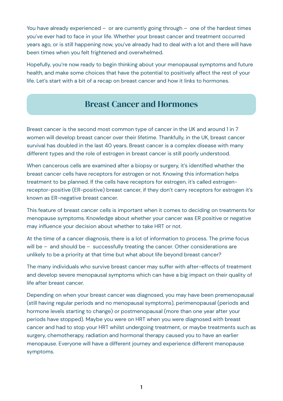You have already experienced – or are currently going through – one of the hardest times you've ever had to face in your life. Whether your breast cancer and treatment occurred years ago, or is still happening now, you've already had to deal with a lot and there will have been times when you felt frightened and overwhelmed.

Hopefully, you're now ready to begin thinking about your menopausal symptoms and future health, and make some choices that have the potential to positively affect the rest of your life. Let's start with a bit of a recap on breast cancer and how it links to hormones.

# Breast Cancer and Hormones

Breast cancer is the second most common type of cancer in the UK and around 1 in 7 women will develop breast cancer over their lifetime. Thankfully, in the UK, breast cancer survival has doubled in the last 40 years. Breast cancer is a complex disease with many different types and the role of estrogen in breast cancer is still poorly understood.

When cancerous cells are examined after a biopsy or surgery, it's identified whether the breast cancer cells have receptors for estrogen or not. Knowing this information helps treatment to be planned. If the cells have receptors for estrogen, it's called estrogenreceptor-positive (ER-positive) breast cancer, if they don't carry receptors for estrogen it's known as ER-negative breast cancer.

This feature of breast cancer cells is important when it comes to deciding on treatments for menopause symptoms. Knowledge about whether your cancer was ER positive or negative may influence your decision about whether to take HRT or not.

At the time of a cancer diagnosis, there is a lot of information to process. The prime focus will be – and should be – successfully treating the cancer. Other considerations are unlikely to be a priority at that time but what about life beyond breast cancer?

The many individuals who survive breast cancer may suffer with after-effects of treatment and develop severe menopausal symptoms which can have a big impact on their quality of life after breast cancer.

Depending on when your breast cancer was diagnosed, you may have been premenopausal (still having regular periods and no menopausal symptoms), perimenopausal (periods and hormone levels starting to change) or postmenopausal (more than one year after your periods have stopped). Maybe you were on HRT when you were diagnosed with breast cancer and had to stop your HRT whilst undergoing treatment, or maybe treatments such as surgery, chemotherapy, radiation and hormonal therapy caused you to have an earlier menopause. Everyone will have a different journey and experience different menopause symptoms.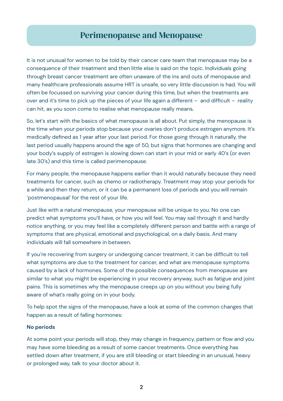## Perimenopause and Menopause

It is not unusual for women to be told by their cancer care team that menopause may be a consequence of their treatment and then little else is said on the topic. Individuals going through breast cancer treatment are often unaware of the ins and outs of menopause and many healthcare professionals assume HRT is unsafe, so very little discussion is had. You will often be focussed on surviving your cancer during this time, but when the treatments are over and it's time to pick up the pieces of your life again a different – and difficult – reality can hit, as you soon come to realise what menopause really means.

So, let's start with the basics of what menopause is all about. Put simply, the menopause is the time when your periods stop because your ovaries don't produce estrogen anymore. It's medically defined as 1 year after your last period. For those going through it naturally, the last period usually happens around the age of 50, but signs that hormones are changing and your body's supply of estrogen is slowing down can start in your mid or early 40's (or even late 30's) and this time is called perimenopause.

For many people, the menopause happens earlier than it would naturally because they need treatments for cancer, such as chemo or radiotherapy. Treatment may stop your periods for a while and then they return, or it can be a permanent loss of periods and you will remain 'postmenopausal' for the rest of your life.

Just like with a natural menopause, your menopause will be unique to you. No one can predict what symptoms you'll have, or how you will feel. You may sail through it and hardly notice anything, or you may feel like a completely different person and battle with a range of symptoms that are physical, emotional and psychological, on a daily basis. And many individuals will fall somewhere in between.

If you're recovering from surgery or undergoing cancer treatment, it can be difficult to tell what symptoms are due to the treatment for cancer, and what are menopause symptoms caused by a lack of hormones. Some of the possible consequences from menopause are similar to what you might be experiencing in your recovery anyway, such as fatigue and joint pains. This is sometimes why the menopause creeps up on you without you being fully aware of what's really going on in your body.

To help spot the signs of the menopause, have a look at some of the common changes that happen as a result of falling hormones:

#### **No periods**

At some point your periods will stop, they may change in frequency, pattern or flow and you may have some bleeding as a result of some cancer treatments. Once everything has settled down after treatment, if you are still bleeding or start bleeding in an unusual, heavy or prolonged way, talk to your doctor about it.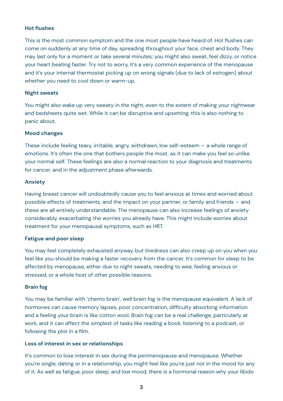#### **Hot flushes**

This is the most common symptom and the one most people have heard of. Hot flushes can come on suddenly at any time of day, spreading throughout your face, chest and body. They may last only for a moment or take several minutes; you might also sweat, feel dizzy, or notice your heart beating faster. Try not to worry, it's a very common experience of the menopause and it's your internal thermostat picking up on wrong signals (due to lack of estrogen) about whether you need to cool down or warm-up.

#### **Night sweats**

You might also wake up very sweaty in the night, even to the extent of making your nightwear and bedsheets quite wet. While it can be disruptive and upsetting, this is also nothing to panic about.

#### **Mood changes**

These include feeling teary, irritable, angry, withdrawn, low self-esteem – a whole range of emotions. It's often the one that bothers people the most, as it can make you feel so unlike your normal self. These feelings are also a normal reaction to your diagnosis and treatments for cancer, and in the adjustment phase afterwards.

#### **Anxiety**

Having breast cancer will undoubtedly cause you to feel anxious at times and worried about possible effects of treatments, and the impact on your partner, or family and friends – and these are all entirely understandable. The menopause can also increase feelings of anxiety considerably, exacerbating the worries you already have. This might include worries about treatment for your menopausal symptoms, such as HRT.

#### **Fatigue and poor sleep**

You may feel completely exhausted anyway, but tiredness can also creep up on you when you feel like you should be making a faster recovery from the cancer. It's common for sleep to be affected by menopause, either due to night sweats, needing to wee, feeling anxious or stressed, or a whole host of other possible reasons.

#### **Brain fog**

You may be familiar with 'chemo brain', well brain fog is the menopause equivalent. A lack of hormones can cause memory lapses, poor concentration, difficulty absorbing information and a feeling your brain is like cotton wool. Brain fog can be a real challenge, particularly at work, and it can affect the simplest of tasks like reading a book, listening to a podcast, or following the plot in a film.

### **Loss of interest in sex or relationships**

It's common to lose interest in sex during the perimenopause and menopause. Whether you're single, dating or in a relationship, you might feel like you're just not in the mood for any of it. As well as fatigue, poor sleep, and low mood, there is a hormonal reason why your libido

**3**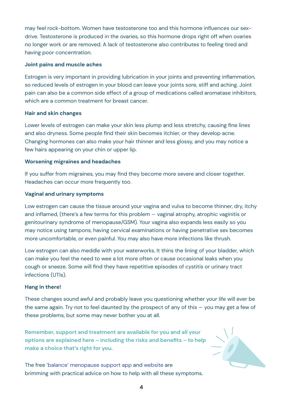may feel rock-bottom. Women have testosterone too and this hormone influences our sexdrive. Testosterone is produced in the ovaries, so this hormone drops right off when ovaries no longer work or are removed. A lack of testosterone also contributes to feeling tired and having poor concentration.

#### **Joint pains and muscle aches**

Estrogen is very important in providing lubrication in your joints and preventing inflammation, so reduced levels of estrogen in your blood can leave your joints sore, stiff and aching. Joint pain can also be a common side effect of a group of medications called aromatase inhibitors, which are a common treatment for breast cancer.

#### **Hair and skin changes**

Lower levels of estrogen can make your skin less plump and less stretchy, causing fine lines and also dryness. Some people find their skin becomes itchier, or they develop acne. Changing hormones can also make your hair thinner and less glossy, and you may notice a few hairs appearing on your chin or upper lip.

#### **Worsening migraines and headaches**

If you suffer from migraines, you may find they become more severe and closer together. Headaches can occur more frequently too.

#### **Vaginal and urinary symptoms**

Low estrogen can cause the tissue around your vagina and vulva to become thinner, dry, itchy and inflamed, (there's a few terms for this problem – vaginal atrophy, atrophic vaginitis or genitourinary syndrome of menopause/GSM). Your vagina also expands less easily so you may notice using tampons, having cervical examinations or having penetrative sex becomes more uncomfortable, or even painful. You may also have more infections like thrush.

Low estrogen can also meddle with your waterworks. It thins the lining of your bladder, which can make you feel the need to wee a lot more often or cause occasional leaks when you cough or sneeze. Some will find they have repetitive episodes of cystitis or urinary tract infections (UTIs).

#### **Hang in there!**

These changes sound awful and probably leave you questioning whether your life will ever be the same again. Try not to feel daunted by the prospect of any of this – you may get a few of these problems, but some may never bother you at all.

**Remember, support and treatment are available for you and all your options are explained here – including the risks and benefits – to help make a choice that's right for you.** 

The free ['balance' menopause support app](https://balance-app.com/) and [website](https://www.balance-menopause.com/) are brimming with practical advice on how to help with all these symptoms.

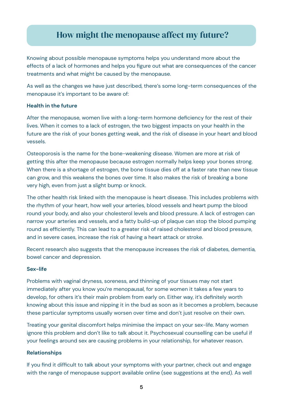# How might the menopause affect my future?

Knowing about possible menopause symptoms helps you understand more about the effects of a lack of hormones and helps you figure out what are consequences of the cancer treatments and what might be caused by the menopause.

As well as the changes we have just described, there's some long-term consequences of the menopause it's important to be aware of:

#### **Health in the future**

After the menopause, women live with a long-term hormone deficiency for the rest of their lives. When it comes to a lack of estrogen, the two biggest impacts on your health in the future are the risk of your bones getting weak, and the risk of disease in your heart and blood vessels.

Osteoporosis is the name for the bone-weakening disease. Women are more at risk of getting this after the menopause because estrogen normally helps keep your bones strong. When there is a shortage of estrogen, the bone tissue dies off at a faster rate than new tissue can grow, and this weakens the bones over time. It also makes the risk of breaking a bone very high, even from just a slight bump or knock.

The other health risk linked with the menopause is heart disease. This includes problems with the rhythm of your heart, how well your arteries, blood vessels and heart pump the blood round your body, and also your cholesterol levels and blood pressure. A lack of estrogen can narrow your arteries and vessels, and a fatty build-up of plaque can stop the blood pumping round as efficiently. This can lead to a greater risk of raised cholesterol and blood pressure, and in severe cases, increase the risk of having a heart attack or stroke.

Recent research also suggests that the menopause increases the risk of diabetes, dementia, bowel cancer and depression.

#### **Sex-life**

Problems with vaginal dryness, soreness, and thinning of your tissues may not start immediately after you know you're menopausal, for some women it takes a few years to develop, for others it's their main problem from early on. Either way, it's definitely worth knowing about this issue and nipping it in the bud as soon as it becomes a problem, because these particular symptoms usually worsen over time and don't just resolve on their own.

Treating your genital discomfort helps minimise the impact on your sex-life. Many women ignore this problem and don't like to talk about it. Psychosexual counselling can be useful if your feelings around sex are causing problems in your relationship, for whatever reason.

#### **Relationships**

If you find it difficult to talk about your symptoms with your partner, check out and engage with the range of menopause support available online (see suggestions at the end). As well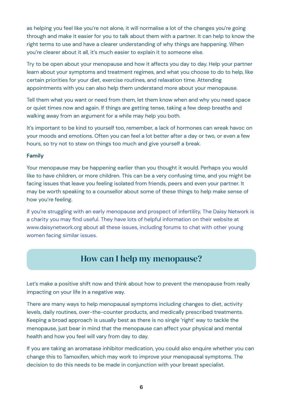as helping you feel like you're not alone, it will normalise a lot of the changes you're going through and make it easier for you to talk about them with a partner. It can help to know the right terms to use and have a clearer understanding of why things are happening. When you're clearer about it all, it's much easier to explain it to someone else.

Try to be open about your menopause and how it affects you day to day. Help your partner learn about your symptoms and treatment regimes, and what you choose to do to help, like certain priorities for your diet, exercise routines, and relaxation time. Attending appointments with you can also help them understand more about your menopause.

Tell them what you want or need from them, let them know when and why you need space or quiet times now and again. If things are getting tense, taking a few deep breaths and walking away from an argument for a while may help you both.

It's important to be kind to yourself too, remember, a lack of hormones can wreak havoc on your moods and emotions. Often you can feel a lot better after a day or two, or even a few hours, so try not to stew on things too much and give yourself a break.

#### **Family**

Your menopause may be happening earlier than you thought it would. Perhaps you would like to have children, or more children. This can be a very confusing time, and you might be facing issues that leave you feeling isolated from friends, peers and even your partner. It may be worth speaking to a counsellor about some of these things to help make sense of how you're feeling.

[If you're struggling with an early menopause and prospect of infertility, The Daisy Network is](https://www.daisynetwork.org) [a charity you may find useful. They have lots of helpful information on their website at](https://www.daisynetwork.org) [www.daisynetwork.org about all these issues, including forums to chat with other young](https://www.daisynetwork.org) [women facing similar issues.](https://www.daisynetwork.org)

# How can I help my menopause?

Let's make a positive shift now and think about how to prevent the menopause from really impacting on your life in a negative way.

There are many ways to help menopausal symptoms including changes to diet, activity levels, daily routines, over-the-counter products, and medically prescribed treatments. Keeping a broad approach is usually best as there is no single 'right' way to tackle the menopause, just bear in mind that the menopause can affect your physical and mental health and how you feel will vary from day to day.

If you are taking an aromatase inhibitor medication, you could also enquire whether you can change this to Tamoxifen, which may work to improve your menopausal symptoms. The decision to do this needs to be made in conjunction with your breast specialist.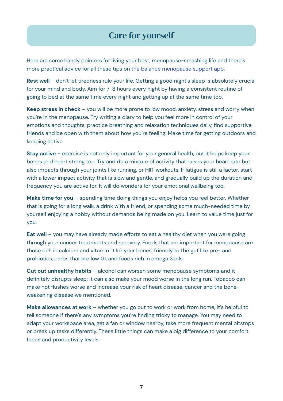# Care for yourself

Here are some handy pointers for living your best, menopause-smashing life and there's more practical advice for all these tips on [the balance menopause support app:](https://balance-app.com/)

**Rest well** – don't let tiredness rule your life. Getting a good night's sleep is absolutely crucial for your mind and body. Aim for 7-8 hours every night by having a consistent routine of going to bed at the same time every night and getting up at the same time too.

**Keep stress in check** – you will be more prone to low mood, anxiety, stress and worry when you're in the menopause. Try writing a diary to help you feel more in control of your emotions and thoughts, practice breathing and relaxation techniques daily, find supportive friends and be open with them about how you're feeling. Make time for getting outdoors and keeping active.

**Stay active** – exercise is not only important for your general health, but it helps keep your bones and heart strong too. Try and do a mixture of activity that raises your heart rate but also impacts through your joints like running, or HIIT workouts. If fatigue is still a factor, start with a lower impact activity that is slow and gentle, and gradually build up the duration and frequency you are active for. It will do wonders for your emotional wellbeing too.

**Make time for you** – spending time doing things you enjoy helps you feel better. Whether that is going for a long walk, a drink with a friend, or spending some much-needed time by yourself enjoying a hobby without demands being made on you. Learn to value time just for you.

**Eat well** – you may have already made efforts to eat a healthy diet when you were going through your cancer treatments and recovery. Foods that are important for menopause are those rich in calcium and vitamin D for your bones, friendly to the gut like pre- and probiotics, carbs that are low GI, and foods rich in omega 3 oils.

**Cut out unhealthy habits** – alcohol can worsen some menopause symptoms and it definitely disrupts sleep; it can also make your mood worse in the long run. Tobacco can make hot flushes worse and increase your risk of heart disease, cancer and the boneweakening disease we mentioned.

**Make allowances at work** – whether you go out to work or work from home, it's helpful to tell someone if there's any symptoms you're finding tricky to manage. You may need to adapt your workspace area, get a fan or window nearby, take more frequent mental pitstops or break up tasks differently. These little things can make a big difference to your comfort, focus and productivity levels.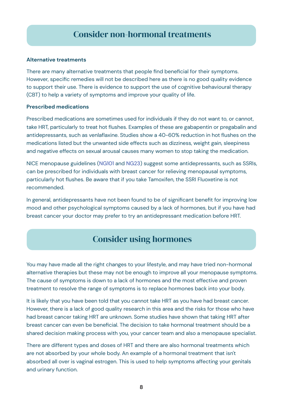# Consider non-hormonal treatments

#### **Alternative treatments**

There are many alternative treatments that people find beneficial for their symptoms. However, specific remedies will not be described here as there is no good quality evidence to support their use. There is evidence to support the use of cognitive behavioural therapy (CBT) to help a variety of symptoms and improve your quality of life.

#### **Prescribed medications**

Prescribed medications are sometimes used for individuals if they do not want to, or cannot, take HRT, particularly to treat hot flushes. Examples of these are gabapentin or pregabalin and antidepressants, such as venlaflaxine. Studies show a 40-60% reduction in hot flushes on the medications listed but the unwanted side effects such as dizziness, weight gain, sleepiness and negative effects on sexual arousal causes many women to stop taking the medication.

NICE menopause guidelines [\(NG101](https://www.nice.org.uk/guidance/ng101) and [NG23\)](https://www.nice.org.uk/guidance/ng23) suggest some antidepressants, such as SSRIs, can be prescribed for individuals with breast cancer for relieving menopausal symptoms, particularly hot flushes. Be aware that if you take Tamoxifen, the SSRI Fluoxetine is not recommended.

In general, antidepressants have not been found to be of significant benefit for improving low mood and other psychological symptoms caused by a lack of hormones, but if you have had breast cancer your doctor may prefer to try an antidepressant medication before HRT.

# Consider using hormones

You may have made all the right changes to your lifestyle, and may have tried non-hormonal alternative therapies but these may not be enough to improve all your menopause symptoms. The cause of symptoms is down to a lack of hormones and the most effective and proven treatment to resolve the range of symptoms is to replace hormones back into your body.

It is likely that you have been told that you cannot take HRT as you have had breast cancer. However, there is a lack of good quality research in this area and the risks for those who have had breast cancer taking HRT are unknown. Some studies have shown that taking HRT after breast cancer can even be beneficial. The decision to take hormonal treatment should be a shared decision making process with you, your cancer team and also a menopause specialist.

There are different types and doses of HRT and there are also hormonal treatments which are not absorbed by your whole body. An example of a hormonal treatment that isn't absorbed all over is vaginal estrogen. This is used to help symptoms affecting your genitals and urinary function.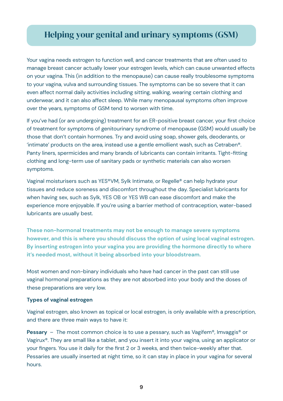# Helping your genital and urinary symptoms (GSM)

Your vagina needs estrogen to function well, and cancer treatments that are often used to manage breast cancer actually lower your estrogen levels, which can cause unwanted effects on your vagina. This (in addition to the menopause) can cause really troublesome symptoms to your vagina, vulva and surrounding tissues. The symptoms can be so severe that it can even affect normal daily activities including sitting, walking, wearing certain clothing and underwear, and it can also affect sleep. While many menopausal symptoms often improve over the years, symptoms of GSM tend to worsen with time.

If you've had (or are undergoing) treatment for an ER-positive breast cancer, your first choice of treatment for symptoms of genitourinary syndrome of menopause (GSM) would usually be those that don't contain hormones. Try and avoid using soap, shower gels, deoderants, or 'intimate' products on the area, instead use a gentle emollient wash, such as Cetraben®. Panty liners, spermicides and many brands of lubricants can contain irritants. Tight-fitting clothing and long-term use of sanitary pads or synthetic materials can also worsen symptoms.

Vaginal moisturisers such as YES®VM, Sylk Intimate, or Regelle® can help hydrate your tissues and reduce soreness and discomfort throughout the day. Specialist lubricants for when having sex, such as Sylk, YES OB or YES WB can ease discomfort and make the experience more enjoyable. If you're using a barrier method of contraception, water-based lubricants are usually best.

**These non-hormonal treatments may not be enough to manage severe symptoms however, and this is where you should discuss the option of using local vaginal estrogen. By inserting estrogen into your vagina you are providing the hormone directly to where it's needed most, without it being absorbed into your bloodstream.**

Most women and non-binary individuals who have had cancer in the past can still use vaginal hormonal preparations as they are not absorbed into your body and the doses of these preparations are very low.

### **Types of vaginal estrogen**

Vaginal estrogen, also known as topical or local estrogen, is only available with a prescription, and there are three main ways to have it:

**Pessary** – The most common choice is to use a pessary, such as Vagifem®, Imvaggis® or Vagirux®. They are small like a tablet, and you insert it into your vagina, using an applicator or your fingers. You use it daily for the first 2 or 3 weeks, and then twice-weekly after that. Pessaries are usually inserted at night time, so it can stay in place in your vagina for several hours.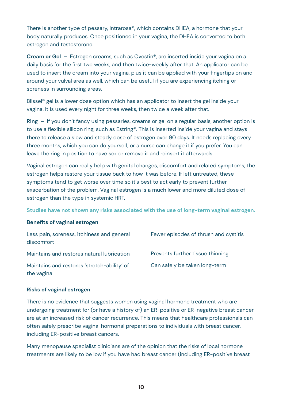There is another type of pessary, Intrarosa®, which contains DHEA, a hormone that your body naturally produces. Once positioned in your vagina, the DHEA is converted to both estrogen and testosterone.

**Cream or Gel** – Estrogen creams, such as Ovestin®, are inserted inside your vagina on a daily basis for the first two weeks, and then twice-weekly after that. An applicator can be used to insert the cream into your vagina, plus it can be applied with your fingertips on and around your vulval area as well, which can be useful if you are experiencing itching or soreness in surrounding areas.

Blissel® gel is a lower dose option which has an applicator to insert the gel inside your vagina. It is used every night for three weeks, then twice a week after that.

**Ring** – If you don't fancy using pessaries, creams or gel on a regular basis, another option is to use a flexible silicon ring, such as Estring®. This is inserted inside your vagina and stays there to release a slow and steady dose of estrogen over 90 days. It needs replacing every three months, which you can do yourself, or a nurse can change it if you prefer. You can leave the ring in position to have sex or remove it and reinsert it afterwards.

Vaginal estrogen can really help with genital changes, discomfort and related symptoms; the estrogen helps restore your tissue back to how it was before. If left untreated, these symptoms tend to get worse over time so it's best to act early to prevent further exacerbation of the problem. Vaginal estrogen is a much lower and more diluted dose of estrogen than the type in systemic HRT.

**Studies have not shown any risks associated with the use of long-term vaginal estrogen.**

#### **Benefits of vaginal estrogen**

| Less pain, soreness, itchiness and general<br>discomfort  | Fewer episodes of thrush and cystitis |
|-----------------------------------------------------------|---------------------------------------|
| Maintains and restores natural lubrication                | Prevents further tissue thinning      |
| Maintains and restores 'stretch-ability' of<br>the vagina | Can safely be taken long-term         |

#### **Risks of vaginal estrogen**

There is no evidence that suggests women using vaginal hormone treatment who are undergoing treatment for (or have a history of) an ER-positive or ER-negative breast cancer are at an increased risk of cancer recurrence. This means that healthcare professionals can often safely prescribe vaginal hormonal preparations to individuals with breast cancer, including ER-positive breast cancers.

Many menopause specialist clinicians are of the opinion that the risks of local hormone treatments are likely to be low if you have had breast cancer (including ER-positive breast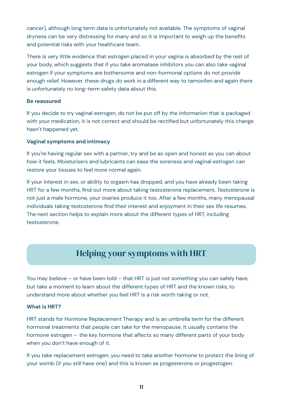cancer), although long term data is unfortunately not available. The symptoms of vaginal dryness can be very distressing for many and so it is important to weigh up the benefits and potential risks with your healthcare team.

There is very little evidence that estrogen placed in your vagina is absorbed by the rest of your body, which suggests that if you take aromatase inhibitors you can also take vaginal estrogen if your symptoms are bothersome and non-hormonal options do not provide enough relief. However, these drugs do work in a different way to tamoxifen and again there is unfortunately no long-term safety data about this.

### **Be reassured**

If you decide to try vaginal estrogen, do not be put off by the information that is packaged with your medication, it is not correct and should be rectified but unfortunately this change hasn't happened yet.

### **Vaginal symptoms and intimacy**

If you're having regular sex with a partner, try and be as open and honest as you can about how it feels. Moisturisers and lubricants can ease the soreness and vaginal estrogen can restore your tissues to feel more normal again.

If your interest in sex, or ability to orgasm has dropped, and you have already been taking HRT for a few months, find out more about taking testosterone replacement. Testosterone is not just a male hormone, your ovaries produce it too. After a few months, many menopausal individuals taking testosterone find their interest and enjoyment in their sex life resumes. The next section helps to explain more about the different types of HRT, including testosterone.

# Helping your symptoms with HRT

You may believe – or have been told – that HRT is just not something you can safely have. but take a moment to learn about the different types of HRT and the known risks, to understand more about whether you feel HRT is a risk worth taking or not.

### **What is HRT?**

HRT stands for Hormone Replacement Therapy and is an umbrella term for the different hormonal treatments that people can take for the menopause. It usually contains the hormone estrogen – the key hormone that affects so many different parts of your body when you don't have enough of it.

If you take replacement estrogen, you need to take another hormone to protect the lining of your womb (if you still have one) and this is known as progesterone or progestogen.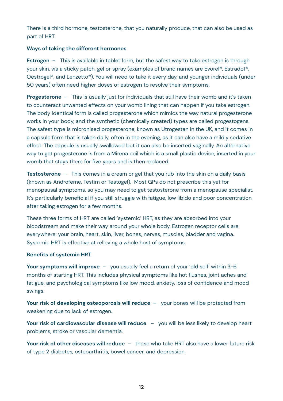There is a third hormone, testosterone, that you naturally produce, that can also be used as part of HRT.

#### **Ways of taking the different hormones**

**Estrogen** – This is available in tablet form, but the safest way to take estrogen is through your skin, via a sticky patch, gel or spray (examples of brand names are Evorel®, Estradot®, Oestrogel®, and Lenzetto®). You will need to take it every day, and younger individuals (under 50 years) often need higher doses of estrogen to resolve their symptoms.

**Progesterone** – This is usually just for individuals that still have their womb and it's taken to counteract unwanted effects on your womb lining that can happen if you take estrogen. The body identical form is called progesterone which mimics the way natural progesterone works in your body, and the synthetic (chemically created) types are called progestogens. The safest type is micronised progesterone, known as Utrogestan in the UK, and it comes in a capsule form that is taken daily, often in the evening, as it can also have a mildly sedative effect. The capsule is usually swallowed but it can also be inserted vaginally. An alternative way to get progesterone is from a Mirena coil which is a small plastic device, inserted in your womb that stays there for five years and is then replaced.

**Testosterone** – This comes in a cream or gel that you rub into the skin on a daily basis (known as Androfeme, Testim or Testogel). Most GPs do not prescribe this yet for menopausal symptoms, so you may need to get testosterone from a menopause specialist. It's particularly beneficial if you still struggle with fatigue, low libido and poor concentration after taking estrogen for a few months.

These three forms of HRT are called 'systemic' HRT, as they are absorbed into your bloodstream and make their way around your whole body. Estrogen receptor cells are everywhere: your brain, heart, skin, liver, bones, nerves, muscles, bladder and vagina. Systemic HRT is effective at relieving a whole host of symptoms.

#### **Benefits of systemic HRT**

**Your symptoms will improve** – you usually feel a return of your 'old self' within 3-6 months of starting HRT. This includes physical symptoms like hot flushes, joint aches and fatigue, and psychological symptoms like low mood, anxiety, loss of confidence and mood swings.

**Your risk of developing osteoporosis will reduce** – your bones will be protected from weakening due to lack of estrogen.

**Your risk of cardiovascular disease will reduce** – you will be less likely to develop heart problems, stroke or vascular dementia.

**Your risk of other diseases will reduce** – those who take HRT also have a lower future risk of type 2 diabetes, osteoarthritis, bowel cancer, and depression.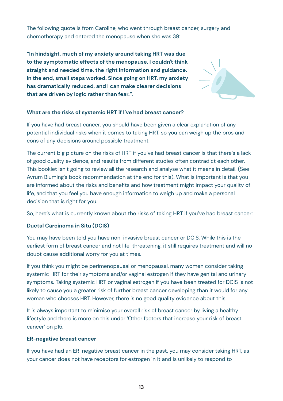The following quote is from Caroline, who went through breast cancer, surgery and chemotherapy and entered the menopause when she was 39:

**"In hindsight, much of my anxiety around taking HRT was due to the symptomatic effects of the menopause. I couldn't think straight and needed time, the right information and guidance. In the end, small steps worked. Since going on HRT, my anxiety has dramatically reduced, and I can make clearer decisions that are driven by logic rather than fear."**.



### **What are the risks of systemic HRT if I've had breast cancer?**

If you have had breast cancer, you should have been given a clear explanation of any potential individual risks when it comes to taking HRT, so you can weigh up the pros and cons of any decisions around possible treatment.

The current big picture on the risks of HRT if you've had breast cancer is that there's a lack of good quality evidence, and results from different studies often contradict each other. This booklet isn't going to review all the research and analyse what it means in detail. (See Avrum Bluming's book recommendation at the end for this). What is important is that you are informed about the risks and benefits and how treatment might impact your quality of life, and that you feel you have enough information to weigh up and make a personal decision that is right for you.

So, here's what is currently known about the risks of taking HRT if you've had breast cancer:

### **Ductal Carcinoma in Situ (DCIS)**

You may have been told you have non-invasive breast cancer or DCIS. While this is the earliest form of breast cancer and not life-threatening, it still requires treatment and will no doubt cause additional worry for you at times.

If you think you might be perimenopausal or menopausal, many women consider taking systemic HRT for their symptoms and/or vaginal estrogen if they have genital and urinary symptoms. Taking systemic HRT or vaginal estrogen if you have been treated for DCIS is not likely to cause you a greater risk of further breast cancer developing than it would for any woman who chooses HRT. However, there is no good quality evidence about this.

It is always important to minimise your overall risk of breast cancer by living a healthy lifestyle and there is more on this under 'Other factors that increase your risk of breast cancer' on p15.

#### **ER-negative breast cancer**

If you have had an ER-negative breast cancer in the past, you may consider taking HRT, as your cancer does not have receptors for estrogen in it and is unlikely to respond to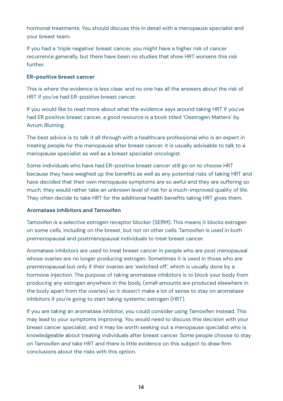hormonal treatments. You should discuss this in detail with a menopause specialist and your breast team.

If you had a 'triple negative' breast cancer, you might have a higher risk of cancer recurrence generally, but there have been no studies that show HRT worsens this risk further.

#### **ER-positive breast cancer**

This is where the evidence is less clear, and no one has all the answers about the risk of HRT if you've had ER-positive breast cancer.

If you would like to read more about what the evidence says around taking HRT if you've had ER positive breast cancer, a good resource is a book titled 'Oestrogen Matters' by Avrum Bluming.

The best advice is to talk it all through with a healthcare professional who is an expert in treating people for the menopause after breast cancer. It is usually advisable to talk to a menopause specialist as well as a breast specialist oncologist.

Some individuals who have had ER-positive breast cancer still go on to choose HRT because they have weighed up the benefits as well as any potential risks of taking HRT and have decided that their own menopause symptoms are so awful and they are suffering so much, they would rather take an unknown level of risk for a much-improved quality of life. They often decide to take HRT for the additional health benefits taking HRT gives them.

#### **Aromatase inhibitors and Tamoxifen**

Tamoxifen is a selective estrogen receptor blocker (SERM). This means it blocks estrogen on some cells, including on the breast, but not on other cells. Tamoxifen is used in both premenopausal and postmenopausal individuals to treat breast cancer.

Aromatase inhibitors are used to treat breast cancer in people who are post menopausal whose ovaries are no longer producing estrogen. Sometimes it is used in those who are premenopausal but only if their ovaries are 'switched off', which is usually done by a hormone injection. The purpose of taking aromatase inhibitors is to block your body from producing any estrogen anywhere in the body, (small amounts are produced elsewhere in the body apart from the ovaries) so it doesn't make a lot of sense to stay on aromatase inhibitors if you're going to start taking systemic estrogen (HRT).

If you are taking an aromatase inhibitor, you could consider using Tamoxifen instead. This may lead to your symptoms improving. You would need to discuss this decision with your breast cancer specialist, and it may be worth seeking out a menopause specialist who is knowledgeable about treating individuals after breast cancer. Some people choose to stay on Tamoxifen and take HRT and there is little evidence on this subject to draw firm conclusions about the risks with this option.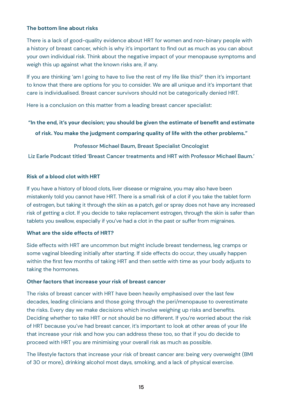#### **The bottom line about risks**

There is a lack of good-quality evidence about HRT for women and non-binary people with a history of breast cancer, which is why it's important to find out as much as you can about your own individual risk. Think about the negative impact of your menopause symptoms and weigh this up against what the known risks are, if any.

If you are thinking 'am I going to have to live the rest of my life like this?' then it's important to know that there are options for you to consider. We are all unique and it's important that care is individualised. Breast cancer survivors should not be categorically denied HRT.

Here is a conclusion on this matter from a leading breast cancer specialist:

#### **"In the end, it's your decision; you should be given the estimate of benefit and estimate**

**of risk. You make the judgment comparing quality of life with the other problems."**

#### Professor Michael Baum, Breast Specialist Oncologist

Liz Earle Podcast titled 'Breast Cancer treatments and HRT with Professor Michael Baum.'

#### **Risk of a blood clot with HRT**

If you have a history of blood clots, liver disease or migraine, you may also have been mistakenly told you cannot have HRT. There is a small risk of a clot if you take the tablet form of estrogen, but taking it through the skin as a patch, gel or spray does not have any increased risk of getting a clot. If you decide to take replacement estrogen, through the skin is safer than tablets you swallow, especially if you've had a clot in the past or suffer from migraines.

#### **What are the side effects of HRT?**

Side effects with HRT are uncommon but might include breast tenderness, leg cramps or some vaginal bleeding initially after starting. If side effects do occur, they usually happen within the first few months of taking HRT and then settle with time as your body adjusts to taking the hormones.

#### **Other factors that increase your risk of breast cancer**

The risks of breast cancer with HRT have been heavily emphasised over the last few decades, leading clinicians and those going through the peri/menopause to overestimate the risks. Every day we make decisions which involve weighing up risks and benefits. Deciding whether to take HRT or not should be no different. If you're worried about the risk of HRT because you've had breast cancer, it's important to look at other areas of your life that increase your risk and how you can address these too, so that if you do decide to proceed with HRT you are minimising your overall risk as much as possible.

The lifestyle factors that increase your risk of breast cancer are: being very overweight (BMI of 30 or more), drinking alcohol most days, smoking, and a lack of physical exercise.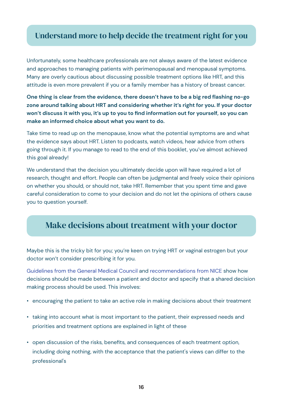### Understand more to help decide the treatment right for you

Unfortunately, some healthcare professionals are not always aware of the latest evidence and approaches to managing patients with perimenopausal and menopausal symptoms. Many are overly cautious about discussing possible treatment options like HRT, and this attitude is even more prevalent if you or a family member has a history of breast cancer.

**One thing is clear from the evidence, there doesn't have to be a big red flashing no-go zone around talking about HRT and considering whether it's right for you. If your doctor won't discuss it with you, it's up to you to find information out for yourself, so you can make an informed choice about what you want to do.**

Take time to read up on the menopause, know what the potential symptoms are and what the evidence says about HRT. Listen to podcasts, watch videos, hear advice from others going through it. If you manage to read to the end of this booklet, you've almost achieved this goal already!

We understand that the decision you ultimately decide upon will have required a lot of research, thought and effort. People can often be judgmental and freely voice their opinions on whether you should, or should not, take HRT. Remember that you spent time and gave careful consideration to come to your decision and do not let the opinions of others cause you to question yourself.

### Make decisions about treatment with your doctor

Maybe this is the tricky bit for you; you're keen on trying HRT or vaginal estrogen but your doctor won't consider prescribing it for you.

[Guidelines from the General Medical Council](https://www.gmc-uk.org/-/media/documents/gmc-guidance-for-doctors---decision-making-and-consent-english_pdf-84191055.pdf?la=en&hash=BE327A1C584627D12BC51F66E790443F0E0651DA) and [recommendations from NICE](https://www.nice.org.uk/guidance/ng197) show how decisions should be made between a patient and doctor and specify that a shared decision making process should be used. This involves:

- encouraging the patient to take an active role in making decisions about their treatment
- taking into account what is most important to the patient, their expressed needs and priorities and treatment options are explained in light of these
- open discussion of the risks, benefits, and consequences of each treatment option, including doing nothing, with the acceptance that the patient's views can differ to the professional's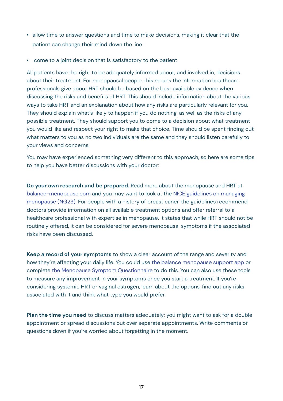- allow time to answer questions and time to make decisions, making it clear that the patient can change their mind down the line
- come to a joint decision that is satisfactory to the patient

All patients have the right to be adequately informed about, and involved in, decisions about their treatment. For menopausal people, this means the information healthcare professionals give about HRT should be based on the best available evidence when discussing the risks and benefits of HRT. This should include information about the various ways to take HRT and an explanation about how any risks are particularly relevant for you. They should explain what's likely to happen if you do nothing, as well as the risks of any possible treatment. They should support you to come to a decision about what treatment you would like and respect your right to make that choice. Time should be spent finding out what matters to you as no two individuals are the same and they should listen carefully to your views and concerns.

You may have experienced something very different to this approach, so here are some tips to help you have better discussions with your doctor:

**Do your own research and be prepared.** Read more about the menopause and HRT at [balance-menopause.com](https://www.balance-menopause.com/) and you may want to look at the [NICE guidelines on managing](https://www.nice.org.uk/guidance/ng23) [menopause \(NG23\)](https://www.nice.org.uk/guidance/ng23). For people with a history of breast caner, the guidelines recommend doctors provide information on all available treatment options and offer referral to a healthcare professional with expertise in menopause. It states that while HRT should not be routinely offered, it can be considered for severe menopausal symptoms if the associated risks have been discussed.

**Keep a record of your symptoms** to show a clear account of the range and severity and how they're affecting your daily life. You could use [the balance menopause support app](https://balance-app.com/) or complete [the Menopause Symptom Questionnaire](https://balance-menopause.com/uploads/2021/10/Menopause-Symptoms-Questionnaire-1.pdf) to do this. You can also use these tools to measure any improvement in your symptoms once you start a treatment. If you're considering systemic HRT or vaginal estrogen, learn about the options, find out any risks associated with it and think what type you would prefer.

**Plan the time you need** to discuss matters adequately; you might want to ask for a double appointment or spread discussions out over separate appointments. Write comments or questions down if you're worried about forgetting in the moment.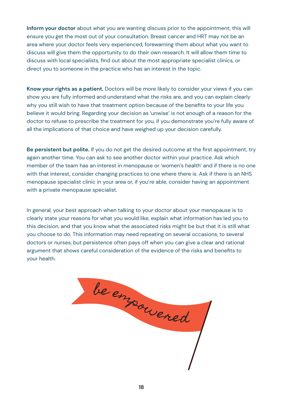**Inform your doctor** about what you are wanting discuss prior to the appointment, this will ensure you get the most out of your consultation. Breast cancer and HRT may not be an area where your doctor feels very experienced, forewarning them about what you want to discuss will give them the opportunity to do their own research. It will allow them time to discuss with local specialists, find out about the most appropriate specialist clinics, or direct you to someone in the practice who has an interest in the topic.

**Know your rights as a patient.** Doctors will be more likely to consider your views if you can show you are fully informed and understand what the risks are, and you can explain clearly why you still wish to have that treatment option because of the benefits to your life you believe it would bring. Regarding your decision as 'unwise' is not enough of a reason for the doctor to refuse to prescribe the treatment for you, if you demonstrate you're fully aware of all the implications of that choice and have weighed up your decision carefully.

**Be persistent but polite.** If you do not get the desired outcome at the first appointment, try again another time. You can ask to see another doctor within your practice. Ask which member of the team has an interest in menopause or 'women's health' and if there is no one with that interest, consider changing practices to one where there is. Ask if there is an NHS menopause specialist clinic in your area or, if you're able, consider having an appointment with a private menopause specialist.

In general, your best approach when talking to your doctor about your menopause is to clearly state your reasons for what you would like, explain what information has led you to this decision, and that you know what the associated risks might be but that it is still what you choose to do. This information may need repeating on several occasions, to several doctors or nurses, but persistence often pays off when you can give a clear and rational argument that shows careful consideration of the evidence of the risks and benefits to your health.

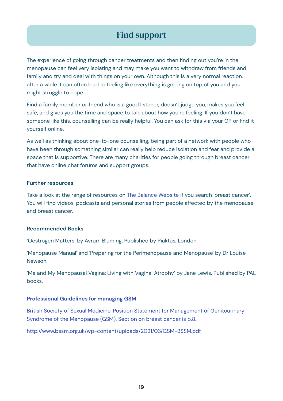# Find support

The experience of going through cancer treatments and then finding out you're in the menopause can feel very isolating and may make you want to withdraw from friends and family and try and deal with things on your own. Although this is a very normal reaction, after a while it can often lead to feeling like everything is getting on top of you and you might struggle to cope.

Find a family member or friend who is a good listener, doesn't judge you, makes you feel safe, and gives you the time and space to talk about how you're feeling. If you don't have someone like this, counselling can be really helpful. You can ask for this via your GP or find it yourself online.

As well as thinking about one-to-one counselling, being part of a network with people who have been through something similar can really help reduce isolation and fear and provide a space that is supportive. There are many charities for people going through breast cancer that have online chat forums and support groups.

#### **Further resources**

Take a look at the range of resources on [The Balance Website](https://www.balance-menopause.com/) if you search 'breast cancer'. You will find videos, podcasts and personal stories from people affected by the menopause and breast cancer.

#### **Recommended Books**

'Oestrogen Matters' by Avrum Bluming. Published by Piaktus, London.

'Menopause Manual' and 'Preparing for the Perimenopause and Menopause' by Dr Louise Newson.

'Me and My Menopausal Vagina: Living with Vaginal Atrophy' by Jane Lewis. Published by PAL books.

#### **[Professional Guidelines for managing GSM](P)**

[British Society of Sexual Medicine, Position Statement for Management of Genitourinary](P) [Syndrome of the Menopause \(GSM\). Section on breast cancer is p.8.](P)

[http://www.bssm.org.uk/wp-content/uploads/2021/03/GSM-BSSM.pdf](P)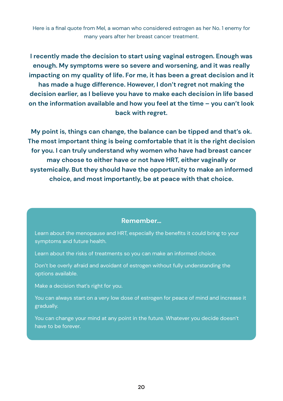Here is a final quote from Mel, a woman who considered estrogen as her No. 1 enemy for many years after her breast cancer treatment.

**I recently made the decision to start using vaginal estrogen. Enough was enough. My symptoms were so severe and worsening, and it was really impacting on my quality of life. For me, it has been a great decision and it has made a huge difference. However, I don't regret not making the decision earlier, as I believe you have to make each decision in life based on the information available and how you feel at the time – you can't look back with regret.**

**My point is, things can change, the balance can be tipped and that's ok. The most important thing is being comfortable that it is the right decision for you. I can truly understand why women who have had breast cancer may choose to either have or not have HRT, either vaginally or systemically. But they should have the opportunity to make an informed choice, and most importantly, be at peace with that choice.**

### **Remember…**

Learn about the menopause and HRT, especially the benefits it could bring to your symptoms and future health.

Learn about the risks of treatments so you can make an informed choice.

Don't be overly afraid and avoidant of estrogen without fully understanding the options available.

Make a decision that's right for you.

You can always start on a very low dose of estrogen for peace of mind and increase it gradually.

You can change your mind at any point in the future. Whatever you decide doesn't have to be forever.